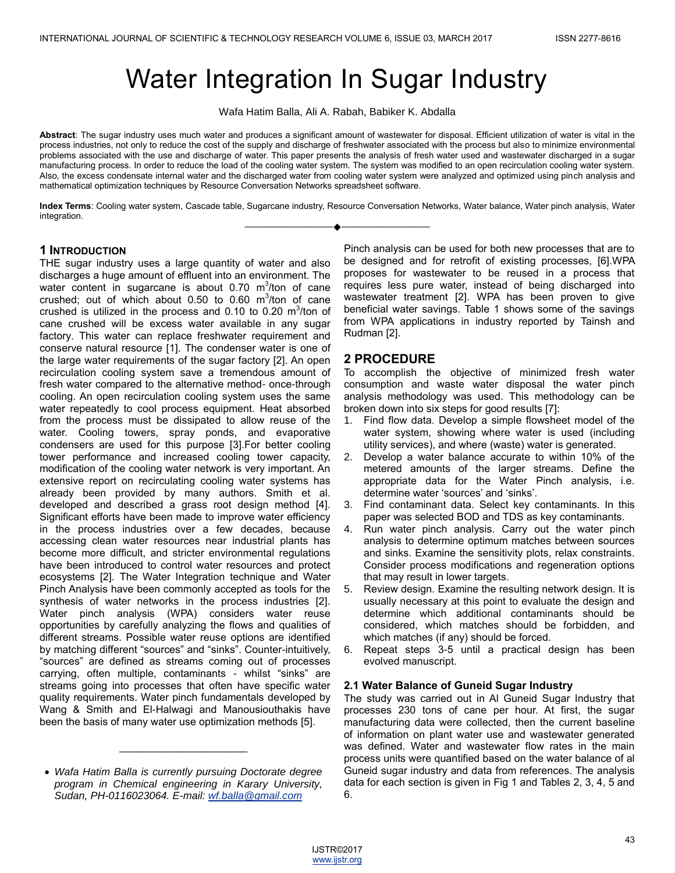# Water Integration In Sugar Industry

Wafa Hatim Balla, Ali A. Rabah, Babiker K. Abdalla

**Abstract**: The sugar industry uses much water and produces a significant amount of wastewater for disposal. Efficient utilization of water is vital in the process industries, not only to reduce the cost of the supply and discharge of freshwater associated with the process but also to minimize environmental problems associated with the use and discharge of water. This paper presents the analysis of fresh water used and wastewater discharged in a sugar manufacturing process. In order to reduce the load of the cooling water system. The system was modified to an open recirculation cooling water system. Also, the excess condensate internal water and the discharged water from cooling water system were analyzed and optimized using pinch analysis and mathematical optimization techniques by Resource Conversation Networks spreadsheet software.

**Index Terms**: Cooling water system, Cascade table, Sugarcane industry, Resource Conversation Networks, Water balance, Water pinch analysis, Water integration. ————————————————————

## **1 INTRODUCTION**

THE sugar industry uses a large quantity of water and also discharges a huge amount of effluent into an environment. The water content in sugarcane is about 0.70  $\mathrm{m}^3$ /ton of cane crushed; out of which about 0.50 to 0.60  $\mathrm{m}^3$ /ton of cane crushed is utilized in the process and 0.10 to 0.20  $m^3$ /ton of cane crushed will be excess water available in any sugar factory. This water can replace freshwater requirement and conserve natural resource [1]. The condenser water is one of the large water requirements of the sugar factory [2]. An open recirculation cooling system save a tremendous amount of fresh water compared to the alternative method- once-through cooling. An open recirculation cooling system uses the same water repeatedly to cool process equipment. Heat absorbed from the process must be dissipated to allow reuse of the water. Cooling towers, spray ponds, and evaporative condensers are used for this purpose [3].For better cooling tower performance and increased cooling tower capacity, modification of the cooling water network is very important. An extensive report on recirculating cooling water systems has already been provided by many authors. Smith et al. developed and described a grass root design method [4]. Significant efforts have been made to improve water efficiency in the process industries over a few decades, because accessing clean water resources near industrial plants has become more difficult, and stricter environmental regulations have been introduced to control water resources and protect ecosystems [2]. The Water Integration technique and Water Pinch Analysis have been commonly accepted as tools for the synthesis of water networks in the process industries [2]. Water pinch analysis (WPA) considers water reuse opportunities by carefully analyzing the flows and qualities of different streams. Possible water reuse options are identified by matching different "sources" and "sinks". Counter-intuitively, ―sources‖ are defined as streams coming out of processes carrying, often multiple, contaminants - whilst "sinks" are streams going into processes that often have specific water quality requirements. Water pinch fundamentals developed by Wang & Smith and El-Halwagi and Manousiouthakis have been the basis of many water use optimization methods [5].

\_\_\_\_\_\_\_\_\_\_\_\_\_\_\_\_\_\_\_\_\_\_

Pinch analysis can be used for both new processes that are to be designed and for retrofit of existing processes, [6].WPA proposes for wastewater to be reused in a process that requires less pure water, instead of being discharged into wastewater treatment [2]. WPA has been proven to give beneficial water savings. Table 1 shows some of the savings from WPA applications in industry reported by Tainsh and Rudman [2].

# **2 PROCEDURE**

To accomplish the objective of minimized fresh water consumption and waste water disposal the water pinch analysis methodology was used. This methodology can be broken down into six steps for good results [7]:

- 1. Find flow data. Develop a simple flowsheet model of the water system, showing where water is used (including utility services), and where (waste) water is generated.
- 2. Develop a water balance accurate to within 10% of the metered amounts of the larger streams. Define the appropriate data for the Water Pinch analysis, i.e. determine water 'sources' and 'sinks'.
- 3. Find contaminant data. Select key contaminants. In this paper was selected BOD and TDS as key contaminants.
- 4. Run water pinch analysis. Carry out the water pinch analysis to determine optimum matches between sources and sinks. Examine the sensitivity plots, relax constraints. Consider process modifications and regeneration options that may result in lower targets.
- 5. Review design. Examine the resulting network design. It is usually necessary at this point to evaluate the design and determine which additional contaminants should be considered, which matches should be forbidden, and which matches (if any) should be forced.
- 6. Repeat steps 3-5 until a practical design has been evolved manuscript.

#### **2.1 Water Balance of Guneid Sugar Industry**

The study was carried out in Al Guneid Sugar Industry that processes 230 tons of cane per hour. At first, the sugar manufacturing data were collected, then the current baseline of information on plant water use and wastewater generated was defined. Water and wastewater flow rates in the main process units were quantified based on the water balance of al Guneid sugar industry and data from references. The analysis data for each section is given in Fig 1 and Tables 2, 3, 4, 5 and 6.

*Wafa Hatim Balla is currently pursuing Doctorate degree program in Chemical engineering in Karary University, Sudan, PH-0116023064. E-mail: wf.balla@gmail.com*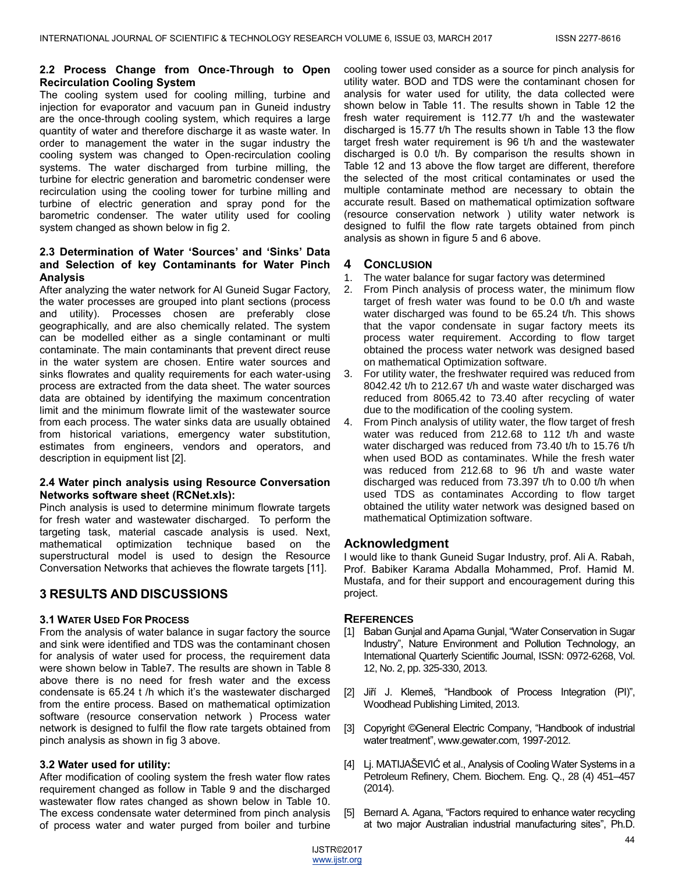## **2.2 Process Change from Once-Through to Open Recirculation Cooling System**

The cooling system used for cooling milling, turbine and injection for evaporator and vacuum pan in Guneid industry are the once-through cooling system, which requires a large quantity of water and therefore discharge it as waste water. In order to management the water in the sugar industry the cooling system was changed to Open‐recirculation cooling systems. The water discharged from turbine milling, the turbine for electric generation and barometric condenser were recirculation using the cooling tower for turbine milling and turbine of electric generation and spray pond for the barometric condenser. The water utility used for cooling system changed as shown below in fig 2.

## **2.3 Determination of Water 'Sources' and 'Sinks' Data and Selection of key Contaminants for Water Pinch Analysis**

After analyzing the water network for Al Guneid Sugar Factory, the water processes are grouped into plant sections (process and utility). Processes chosen are preferably close geographically, and are also chemically related. The system can be modelled either as a single contaminant or multi contaminate. The main contaminants that prevent direct reuse in the water system are chosen. Entire water sources and sinks flowrates and quality requirements for each water-using process are extracted from the data sheet. The water sources data are obtained by identifying the maximum concentration limit and the minimum flowrate limit of the wastewater source from each process. The water sinks data are usually obtained from historical variations, emergency water substitution, estimates from engineers, vendors and operators, and description in equipment list [2].

# **2.4 Water pinch analysis using Resource Conversation Networks software sheet (RCNet.xls):**

Pinch analysis is used to determine minimum flowrate targets for fresh water and wastewater discharged. To perform the targeting task, material cascade analysis is used. Next, mathematical optimization technique based on the superstructural model is used to design the Resource Conversation Networks that achieves the flowrate targets [11].

# **3 RESULTS AND DISCUSSIONS**

# **3.1 WATER USED FOR PROCESS**

From the analysis of water balance in sugar factory the source and sink were identified and TDS was the contaminant chosen for analysis of water used for process, the requirement data were shown below in Table7. The results are shown in Table 8 above there is no need for fresh water and the excess condensate is 65.24 t /h which it's the wastewater discharged from the entire process. Based on mathematical optimization software (resource conservation network ) Process water network is designed to fulfil the flow rate targets obtained from pinch analysis as shown in fig 3 above.

# **3.2 Water used for utility:**

After modification of cooling system the fresh water flow rates requirement changed as follow in Table 9 and the discharged wastewater flow rates changed as shown below in Table 10. The excess condensate water determined from pinch analysis of process water and water purged from boiler and turbine cooling tower used consider as a source for pinch analysis for utility water. BOD and TDS were the contaminant chosen for analysis for water used for utility, the data collected were shown below in Table 11. The results shown in Table 12 the fresh water requirement is 112.77 t/h and the wastewater discharged is 15.77 t/h The results shown in Table 13 the flow target fresh water requirement is 96 t/h and the wastewater discharged is 0.0 t/h. By comparison the results shown in Table 12 and 13 above the flow target are different, therefore the selected of the most critical contaminates or used the multiple contaminate method are necessary to obtain the accurate result. Based on mathematical optimization software (resource conservation network ) utility water network is designed to fulfil the flow rate targets obtained from pinch analysis as shown in figure 5 and 6 above.

## **4 CONCLUSION**

- 1. The water balance for sugar factory was determined
- 2. From Pinch analysis of process water, the minimum flow target of fresh water was found to be 0.0 t/h and waste water discharged was found to be 65.24 t/h. This shows that the vapor condensate in sugar factory meets its process water requirement. According to flow target obtained the process water network was designed based on mathematical Optimization software.
- 3. For utility water, the freshwater required was reduced from 8042.42 t/h to 212.67 t/h and waste water discharged was reduced from 8065.42 to 73.40 after recycling of water due to the modification of the cooling system.
- 4. From Pinch analysis of utility water, the flow target of fresh water was reduced from 212.68 to 112 t/h and waste water discharged was reduced from 73.40 t/h to 15.76 t/h when used BOD as contaminates. While the fresh water was reduced from 212.68 to 96 t/h and waste water discharged was reduced from 73.397 t/h to 0.00 t/h when used TDS as contaminates According to flow target obtained the utility water network was designed based on mathematical Optimization software.

# **Acknowledgment**

I would like to thank Guneid Sugar Industry, prof. Ali A. Rabah, Prof. Babiker Karama Abdalla Mohammed, Prof. Hamid M. Mustafa, and for their support and encouragement during this project.

# **REFERENCES**

- [1] Baban Gunjal and Aparna Gunjal, "Water Conservation in Sugar Industry", Nature Environment and Pollution Technology, an International Quarterly Scientific Journal, ISSN: 0972-6268, Vol. 12, No. 2, pp. 325-330, 2013.
- [2] Jiří J. Klemeš, "Handbook of Process Integration (PI)", Woodhead Publishing Limited, 2013.
- [3] Copyright ©General Electric Company, "Handbook of industrial water treatment", www.gewater.com, 1997-2012.
- [4] Lj. MATIJAŠEVIĆ et al., Analysis of Cooling Water Systems in a Petroleum Refinery, Chem. Biochem. Eng. Q., 28 (4) 451–457 (2014).
- [5] Bernard A. Agana, "Factors required to enhance water recycling at two major Australian industrial manufacturing sites", Ph.D.